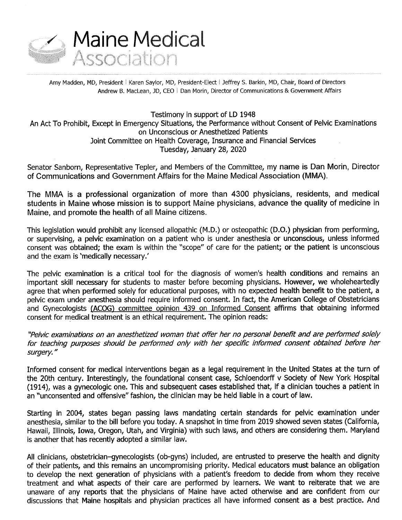

Amy Madden, MD, President l Karen Saylor, MD, President-Elect l Jeffrey S. Barkin, MD, Chair, Board of Directors Andrew B. MacLean, JD, CEO | Dan Morin, Director of Communications & Government Affairs

Testimony in support of LD 1948 An Act To Prohibit, Except in Emergency Situations, the Performance without Consent of Pelvic Examinations on Unconscious or Anesthetized Patients Joint Committee on Health Coverage, Insurance and Financial Services Tuesday, January 28, 2020

Senator Sanborn, Representative Tepler, and Members of the Committee, my name is Dan Morin, Director of Communications and Government Affairs for the Maine Medical Association (MMA).

The MMA is a professional organization of more than 4300 physicians, residents, and medical students in Maine whose mission is to support Maine physicians, advance the quality of medicine in Maine, and promote the health of all Maine citizens.

This legislation would prohibit any licensed allopathic (M.D.) or osteopathic (D.O.) physician from performing, or supervising, a pelvic examination on a patient who is under anesthesia or unconscious, unless informed consent was obtained; the exam is within the "scope" of care for the patient; or the patient is unconscious and the exam is 'medically necessary.'

The pelvic examination is a critical tool for the diagnosis of women's health conditions and remains an important skill necessary for students to master before becoming physicians. However, we wholeheartedly agree that when performed solely for educational purposes, with no expected health benefit to the patient, a pelvic exam under anesthesia should require informed consent. In fact, the American College of Obstetricians and Gynecologists (ACOG) committee opinion 439 on Informed Consent affirms that obtaining informed consent for medical treatment is an ethical requirement. The opinion reads:

"Pelvic examinations on an anesthetized woman that offer her no personal benefit and are performed solely for teaching purposes should be performed only with her specific informed consent obtained before her surgery."

Informed consent for medical interventions began as a legal requirement in the United States at the turn of the 20th century. Interestingly, the foundational consent case, Schloendorff v Society of New York Hospital (1914), was a gynecologic one. This and subsequent cases established that, if a clinician touches a patient in an "unconsented and offensive" fashion, the clinician may be held liable in a court of law.

Starting in 2004, states began passing laws mandating certain standards for pelvic examination under anesthesia, similar to the bill before you today. A snapshot in time from 2019 showed seven states (California, Hawaii, Illinois, Iowa, Oregon, Utah, and Virginia) with such laws, and others are considering them. Maryland is another that has recently adopted a similar law.

All clinicians, obstetrician-gynecologists (ob-gyns) included, are entrusted to preserve the health and dignity of their patients, and this remains an uncompromising priority. Medical educators must balance an obligation to develop the next generation of physicians with a patient's freedom to decide from whom they receive treatment and what aspects of their care are performed by learners. We want to reiterate that we are unaware of any reports that the physicians of Maine have acted otherwise and are confident from our discussions that Maine hospitals and physician practices all have informed consent as a best practice. And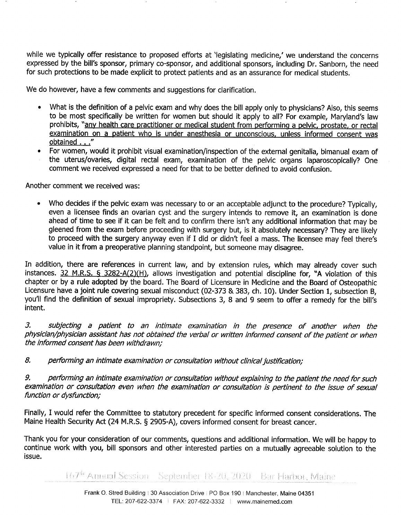while we typically offer resistance to proposed efforts at legislating medicine,' we understand the concerns expressed by the bill's sponsor, primary co-sponsor, and additional sponsors, including Dr. Sanborn, the need for such protections to be made explicit to protect patients and as an assurance for medical students.

We do however, have a few comments and suggestions for clarification.

- What is the definition of a pelvic exam and why does the bill apply only to physicians? Also, this seems to be most specifically be written for women but should it apply to all? For example, Maryland's law prohibits, "any health care practitioner or medical student from performing a pelvic, prostate, or rectal examination on a patient who is under anesthesia or unconscious, unless informed consent was <u>obtained . . .</u>'
- <sup>0</sup>For women, would it prohibit visual examination/inspection of the external genitalia, bimanual exam of the uterus/ovaries, digital rectal exam, examination of the pelvic organs laparoscopically? One comment we received expressed a need for that to be better defined to avoid confusion.

Another comment we received was:

Who decides if the pelvic exam was necessary to or an acceptable adjunct to the procedure? Typically, even a licensee finds an ovarian cyst and the surgery intends to remove it, an examination is done ahead of time to see if it can be felt and to confirm there isn't any additional information that may be gleened from the exam before proceeding with surgery but, is it absolutely necessary? They are likely to proceed with the surgery anyway even if I did or didn't feel a mass. The licensee may feel there's value in it from a preoperative planning standpoint, but someone may disagree.

In addition, there are references in current law, and by extension rules, which may already cover such instances. 32 M.R.S. § 3282-A(2)(H), allows investigation and potential discipline for, "A violation of this chapter or by a rule adopted by the board. The Board of Licensure in Medicine and the Board of Osteopathic Licensure have a joint rule covering sexual misconduct (02-373 & 383, ch. 10). Under Section 1, subsection B, you'll find the definition of sexual impropriety. Subsections 3, 8 and 9 seem to offer a remedy for the bill's intent.

3. subjecting a patient to an intimate examination in the presence of another when the physician/physician assistant has not obtained the verbal or written informed consent of the patient or when the informed consent has been withdrawn;

8. performing an intimate examination or consultation without clinical justification;

9. performing an intimate examination or consultation without explaining to the patient the need for such examination or consultation even when the examination or consultation is pertinent to the issue of sexual function or dysfunction;

Finally, I would refer the Committee to statutory precedent for specific informed consent considerations. The Maine Health Security Act (24 M.R.S. § 2905-A), covers informed consent for breast cancer.

Thank you for your consideration of our comments, questions and additional information. We will be happy to continue work with you, bill sponsors and other interested parties on a mutually agreeable solution to the issue.

167<sup>th</sup> Annual Session - September 18-20, 2020 - Bar Harbor, Maine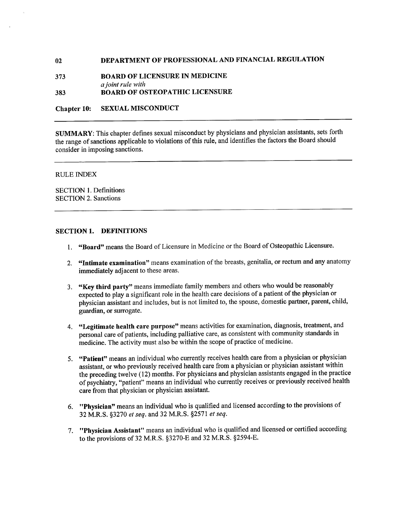# 02 **DEPARTMENT OF PROFESSIONAL AND FINANCIAL REGULATION**

373 BOARD OF LICENSURE IN MEDICINE a joint rule with 383 BOARD OF OSTEOPATHIC LICENSURE

Chapter I0: SEXUAL MISCONDUCT

SUMMARY: This chapter defines sexual misconduct by physicians and physician assistants, sets forth the range of sanctions applicable to violations of this rule, and identifies the factors the Board should consider in imposing sanctions.

#### RULE INDEX

SECTION 1. Definitions SECTION 2. Sanctions

### SECTION 1. DEFINITIONS

- 1. "Board" means the Board of Licensure in Medicine or the Board of Osteopathic Licensure.
- 2. "Intimate examination" means examination of the breasts, genitalia, or rectum and any anatomy immediately adjacent to these areas.
- 3. "Key third party" means immediate family members and others who would be reasonably expected to play a significant role in the health care decisions of a patient of the physician or physician assistant and includes, but is not limited to, the spouse, domestic partner, parent, child, guardian, or surrogate.
- 4. "Legitimate health care purpose" means activities for examination, diagnosis, treatment, and personal care of patients, including palliative care, as consistent with community standards in medicine. The activity must also be within the scope of practice of medicine.
- 5. "Patient" means an individual who currently receives health care from a physician or physician assistant, or who previously received health care from a physician or physician assistant within the preceding twelve (12) months. For physicians and physician assistants engaged in the practice of psychiatry, "patient" means an individual who currently receives or previously received health care from that physician or physician assistant.
- 6. **"Physician"** means an individual who is qualified and licensed according to the provisions of 32 M.R.S. §327O er seq. and 32 M.R.S. §2571 et seq.
- 7. "Physician Assistant" means an individual who is qualified and licensed or certified according to the provisions of 32 M.R.S. §3270-E and 32 M.R.S. §2594-E.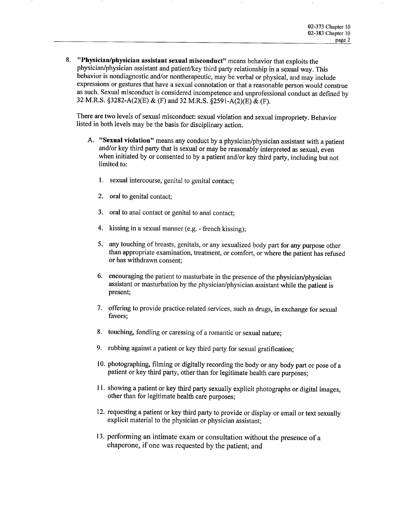8. "Physician/physician assistant sexual misconduct" means behavior that exploits the physician/physician assistant and patient/key third party relationship in a sexual way. This behavior is nondiagnostic and/or nontherapeutic, may be verbal or physical, and may include expressions or gestures that have a sexual connotation or that a reasonable person would construe as such. Sexual misconduct is considered incompetence and unprofessional conduct as defined by <sup>32</sup>M.R.S. §3282-A(2)(E) & (F) and 32 M.R.S. §259l-A(2)(E) & (F).

There are two levels of sexual misconduct: sexual violation and sexual impropriety. Behavior listed in both levels may be the basis for disciplinary action.

- A. "Sexual violation" means any conduct by a physician/physician assistant with a patient and/or key third party that is sexual or may be reasonably interpreted as sexual, even when initiated by or consented to by a patient and/or key third party, including but not limited to:
	- 1. sexual intercourse, genital to genital contact;
	- 2. oral to genital contact;
	- 3. oral to anal contact or genital to anal contact;
	- 4. kissing in a sexual manner (e.g. french kissing);
	- 5. any touching of breasts, genitals, or any sexualized body part for any purpose other than appropriate examination, treatment, or comfort, or where the patient has refused or has withdrawn consent;
	- 6. encouraging the patient to masturbate in the presence of the physician/physician assistant or masturbation by the physician/physician assistant while the patient is present;
	- 7. offering to provide practice-related services, such as drugs, in exchange for sexual favors;
	- 8. touching, fondling or caressing of a romantic or sexual nature;
	- 9. rubbing against a patient or key third party for sexual gratification;
	- 10. photographing, filming or digitally recording the body or any body part or pose of a patient or key third party, other than for legitimate health care purposes;
	- ll. showing a patient or key third party sexually explicit photographs or digital images, other than for legitimate health care purposes;
	- 12. requesting a patient or key third party to provide or display or email or text sexually explicit material to the physician or physician assistant;
	- 13. performing an intimate exam or consultation without the presence of a chaperone, if one was requested by the patient; and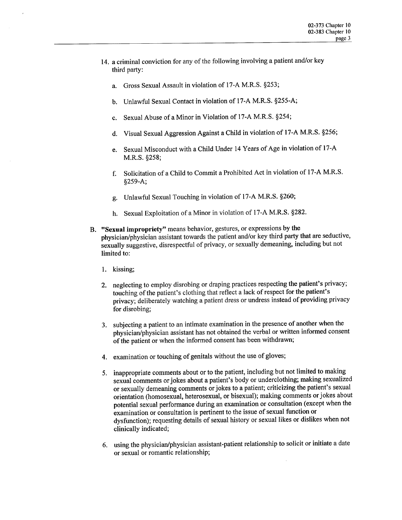- l4. a criminal conviction for any of the following involving a patient and/or key third party:
	- a Gross Sexual Assault in violation of 17-A M.R.S. §253;
	- b. Unlawful Sexual Contact in violation of 17-A M.R.S. §255-A;
	- C. Sexual Abuse of a Minor in Violation of 17-A M.R.S. §254;
	- d Visual Sexual Aggression Against a Child in violation of 17-A M.R.S. §256;
	- e. Sexual Misconduct with a Child Under 14 Years of Age in violation of 17-A M.R.S. §258;
	- f. Solicitation of a Child to Commit a Prohibited Act in violation of 17-A M.R.S. §259 A;
	- g. Unlawful Sexual Touching in violation of 17-A M.R.S. §260;
	- h. Sexual Exploitation of a Minor in violation of 17-A M.R.S. §282.
- B. "Sexual impropriety" means behavior, gestures, or expressions by the physician/physician assistant towards the patient and/or key third party that are seductive, sexually suggestive, disrespectful of privacy, or sexually demeaning, including but not limited to:
	- 1. kissing;
	- 2. neglecting to employ disrobing or draping practices respecting the patient's privacy; touching of the patient's clothing that reflect a lack of respect for the patient's privacy; deliberately watching a patient dress or undress instead of providing privacy for disrobing;
	- 3. subjecting a patient to an intimate examination in the presence of another when the physician/physician assistant has not obtained the verbal or written informed consent of the patient or when the informed consent has been withdrawn;
	- 4. examination or touching of genitals without the use of gloves;
	- 5. inappropriate comments about or to the patient, including but not limited to making sexual comments or jokes about a patient's body or underclothing; making sexualized or sexually demeaning comments or jokes to a patient; criticizing the patient's sexual orientation (homosexual, heterosexual, or bisexual); making comments orjokes about potential sexual performance during an examination or consultation (except when the examination or consultation is pertinent to the issue of sexual function or dysfunction); requesting details of sexual history or sexual likes or dislikes when not clinically indicated;
	- 6. using the physician/physician assistant-patient relationship to solicit or initiate a date or sexual or romantic relationship;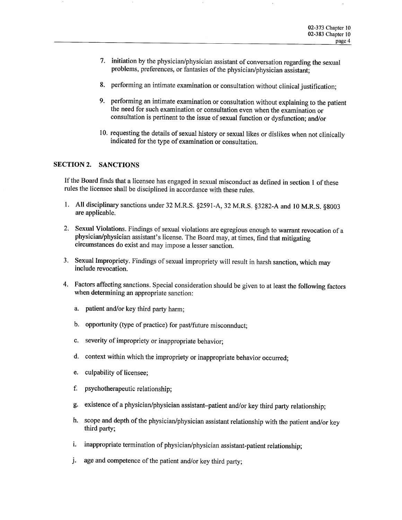- 7. initiation by the physician/physician assistant of conversation regarding the sexual problems, preferences, or fantasies of the physician/physician assistant;
- 8. performing an intimate examination or consultation without clinical justification;
- 9. performing an intimate examination or consultation without explaining to the patient the need for such examination or consultation even when the examination or consultation is pertinent to the issue of sexual function or dysfunction; and/or
- 10. requesting the details of sexual history or sexual likes or dislikes when not clinically indicated for the type of examination or consultation.

### SECTION 2. SANCTIONS

If the Board finds that a licensee has engaged in sexual misconduct as defined in section 1 of these rules the licensee shall be disciplined in accordance with these rules.

- 1. All disciplinary sanctions under 32 M.R.S. §259l-A, 32 M.R.S. §3282-A and 10 M.R.S. §8003 are applicable.
- 2. Sexual Violations. Findings of sexual violations are egregious enough to warrant revocation of <sup>a</sup> physician/physician assistant's license. The Board may, at times, find that mitigating circumstances do exist and may impose a lesser sanction.
- 3. Sexual Impropriety. Findings of sexual impropriety will result in harsh sanction, which may include revocation.
- 4. Factors affecting sanctions. Special consideration should be given to at least the following factors when determining an appropriate sanction:
	- a. patient and/or key third party harm;
	- b. opportunity (type of practice) for past/future misconnduct;
	- c. severity of impropriety or inappropriate behavior;
	- d. context within which the impropriety or inappropriate behavior occurred;
	- e. culpability of licensee;
	- f. psychotherapeutic relationship;
	- g. existence of a physician/physician assistant-patient and/or key third party relationship;
	- h. scope and depth of the physician/physician assistant relationship with the patient and/or key third party;
	- i. inappropriate termination of physician/physician assistant-patient relationship;
	- j. age and competence of the patient and/or key third party;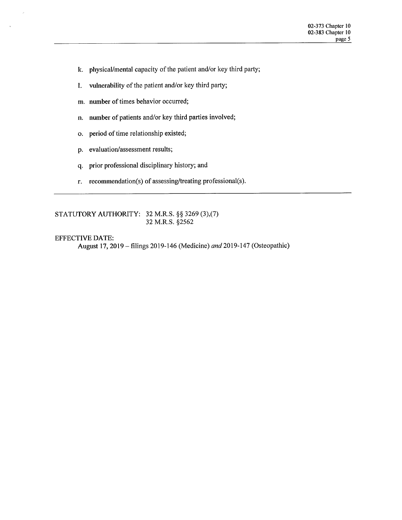- k. physical/mental capacity of the patient and/or key third party;
- l. vulnerability of the patient and/or key third party;
- m. number of times behavior occurred;
- n. number of patients and/or key third parties involved;
- 0. period of time relationship existed;
- p. evaluation/assessment results;
- q. prior professional disciplinary history; and
- r. recommendation(s) of assessing/treating professional(s).

STATUTORY AUTHORITY: 32 M.R.S. §§ 3269 (3),(7) 32 M.R.S. §2562

## EFFECTIVE DATE:

August 17, 2019 - filings 2019-146 (Medicine) and 2019-147 (Osteopathic)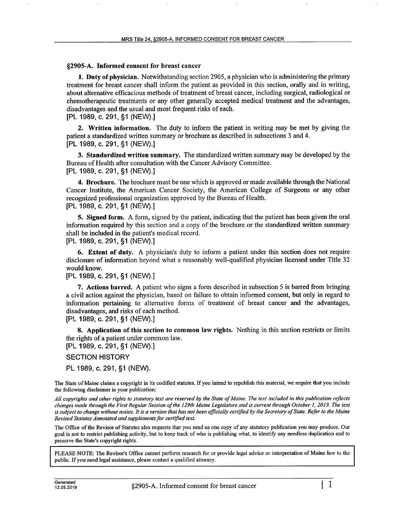#### §2905-A. Informed consent for breast cancer

1. Duty of physician. Notwithstanding section 2905, a physician who is administering the primary treatment for breast cancer shall inform the patient as provided in this section, orally and in writing, about alternative efficacious methods of treatment of breast cancer, including surgical, radiological or chemotherapeutic treatments or any other generally accepted medical treatment and the advantages, disadvantages and the usual and most frequent risks of each. [PL 1989, C. 291, §1 (NEVV).]

2. Written information. The duty to inform the patient in writing may be met by giving the patient a standardized written summary or brochure as described in subsections 3 and 4. [PL 1989, c. 291, §1 (NEW).]

3. Standardized written summary. The standardized written summary may be developed by the Bureau of Health after consultation with the Cancer Advisory Committee. [PL 1989, 0.291, §1 (NEVV).]

4. Brochure. The brochure must be one which is approved or made available through the National Cancer Institute, the American Cancer Society, the American College of Surgeons or any other recognized professional organization approved by the Bureau of Health. [PL 1989, c. 291, §1 (NE\/\/).]

**5. Signed form.** A form, signed by the patient, indicating that the patient has been given the oral information required by this section and a copy of the brochure or the standardized written summary shall be included in the patient's medical record.

[PL 1989, c. 291, §1 (NE\/V).]

6. Extent of duty. A physician's duty to inform a patient under this section does not require disclosure of information beyond what a reasonably well-qualified physician licensed under Title 32 would know.

[PL 1989, c. 291, §1 (NEW).]

7. Actions barred. A patient who signs a form described in subsection 5 is barred from bringing a civil action against the physician, based on failure to obtain informed consent, but only in regard to information pertaining to alternative forms of treatment of breast cancer and the advantages, disadvantages, and risks of each method.

[PL 1989, c. 291, §1 (NEV\/).]

8. Application of this section to common law rights. Nothing in this section restricts or limits the rights of a patient under common law.

[PL 1989, c. 291, §1 (NE\/\/).]

SECTION HISTORY

PL 1989, c. 291, §1 (NEW).

The State of Maine claims a copyright in its codified statutes. If you intend to republish this material, we require that you include the following disclaimer in your publication:

All copyrights and other rights to statutory text are reserved by the State of Maine. The text included in this publication reflects changes made through the First Regular Session of the 129th Maine Legislature and is current through October I, 2019. The text is subject to change without notice. It is a version that has not been officially certified by the Secretary of State. Refer to the Maine Revised Statutes Annotated and supplements for certified text.

The Office of the Revisor of Statutes also requests that you send us one copy of any statutory publication you may produce. Our goal is not to restrict publishing activity, but to keep track of who is publishing what, to identify any needless duplication and to preserve the State's copyright rights.

PLEASE NOTE: The Revisor's Office cannot perform research for or provide legal advice or interpretation of Maine law to the public. If you need legal assistance, please contact a qualified attorney.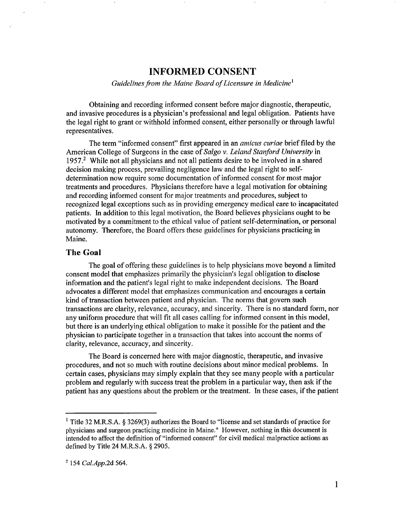# INFORMED CONSENT

Guidelines from the Maine Board of Licensure in Medicine<sup>1</sup>

Obtaining and recording informed consent before major diagnostic, therapeutic, and invasive procedures is a physician's professional and legal obligation. Patients have the legal right to grant or withhold informed consent, either personally or through lawful representatives.

The term "informed consent" first appeared in an *amicus curiae* brief filed by the American College of Surgeons in the case of Salgo v. Leland Stanford University in 1957.<sup>2</sup> While not all physicians and not all patients desire to be involved in a shared decision making process, prevailing negligence law and the legal right to selfdetermination now require some documentation of informed consent for most major treatments and procedures. Physicians therefore have a legal motivation for obtaining and recording informed consent for major treatments and procedures, subject to recognized legal exceptions such as in providing emergency medical care to incapacitated patients. In addition to this legal motivation, the Board believes physicians ought to be motivated by a commitment to the ethical value of patient self-determination, or personal autonomy. Therefore, the Board offers these guidelines for physicians practicing in Maine.

# The Goal

The goal of offering these guidelines is to help physicians move beyond a limited consent model that emphasizes primarily the physician's legal obligation to disclose information and the patient's legal right to make independent decisions. The Board advocates a different model that emphasizes communication and encourages a certain kind of transaction between patient and physician. The norms that govern such transactions are clarity, relevance, accuracy, and sincerity. There is no standard form, nor any uniform procedure that will fit all cases calling for informed consent in this model, but there is an underlying ethical obligation to make it possible for the patient and the physician to participate together in a transaction that takes into account the norms of clarity, relevance, accuracy, and sincerity.

The Board is concerned here with major diagnostic, therapeutic, and invasive procedures, and not so much with routine decisions about minor medical problems. In certain cases, physicians may simply explain that they see many people with a particular problem and regularly with success treat the problem in a particular way, then ask if the patient has any questions about the problem or the treatment. In these cases, if the patient

<sup>1</sup>  Title 32 M.R.S.A. § 3269(3) authorizes the Board to license and set standards of practice for physicians and surgeon practicing medicine in Maine." However, nothing in this document is intended to affect the definition of "informed consent" for civil medical malpractice actions as defined by Title 24 M.R.S.A.  $\S$  2905.

<sup>&</sup>lt;sup>2</sup> 154 Cal.App.2d 564.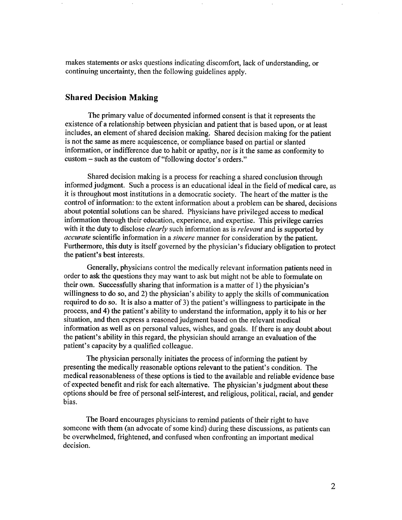makes statements or asks questions indicating discomfort, lack of understanding, or continuing uncertainty, then the following guidelines apply.

# Shared Decision Making

The primary value of documented informed consent is that it represents the existence of a relationship between physician and patient that is based upon, or at least includes, an element of shared decision making. Shared decision making for the patient is not the same as mere acquiescence, or compliance based on partial or slanted information, or indifference due to habit or apathy, nor is it the same as conformity to custom – such as the custom of "following doctor's orders."

Shared decision making is a process for reaching a shared conclusion through informed judgment. Such a process is an educational ideal in the field of medical care, as it is throughout most institutions in a democratic society. The heart of the matter is the control of information: to the extent information about a problem can be shared, decisions about potential solutions can be shared. Physicians have privileged access to medical information through their education, experience, and expertise. This privilege carries with it the duty to disclose *clearly* such information as is *relevant* and is supported by accurate scientific information in a sincere manner for consideration by the patient. Furthermore, this duty is itself governed by the physician's fiduciary obligation to protect the patient's best interests.

Generally, physicians control the medically relevant information patients need in order to ask the questions they may want to ask but might not be able to formulate on their own. Successfully sharing that information is a matter of 1) the physician's willingness to do so, and 2) the physician's ability to apply the skills of communication required to do so. It is also a matter of 3) the patient's willingness to participate in the process, and 4) the patient's ability to understand the information, apply it to his or her situation, and then express a reasoned judgment based on the relevant medical information as well as on personal values, wishes, and goals. If there is any doubt about the patient's ability in this regard, the physician should arrange an evaluation of the patient's capacity by a qualified colleague.

The physician personally initiates the process of informing the patient by presenting the medically reasonable options relevant to the patient's condition. The medical reasonableness of these options is tied to the available and reliable evidence base of expected benefit and risk for each alternative. The physician's judgment about these options should be free of personal self-interest, and religious, political, racial, and gender bias.

The Board encourages physicians to remind patients of their right to have someone with them (an advocate of some kind) during these discussions, as patients can be overwhelmed, frightened, and confused when confronting an important medical decision.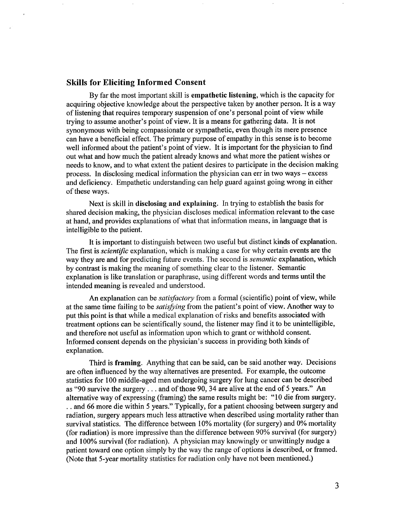### Skills for Eliciting Informed Consent

By far the most important skill is empathetic listening, which is the capacity for acquiring objective knowledge about the perspective taken by another person. It is a way of listening that requires temporary suspension of one's personal point of view while trying to assume another's point of view. It is a means for gathering data. It is not synonymous with being compassionate or sympathetic, even though its mere presence can have a beneficial effect. The primary purpose of empathy in this sense is to become well informed about the patient's point of view. It is important for the physician to find out what and how much the patient already knows and what more the patient wishes or needs to know, and to what extent the patient desires to participate in the decision making process. In disclosing medical information the physician can err in two ways – excess and deficiency. Empathetic understanding can help guard against going wrong in either of these ways.

Next is skill in disclosing and explaining. In trying to establish the basis for shared decision making, the physician discloses medical information relevant to the case at hand, and provides explanations of what that information means, in language that is intelligible to the patient.

It is important to distinguish between two useful but distinct kinds of explanation. The first is *scientific* explanation, which is making a case for why certain events are the way they are and for predicting future events. The second is *semantic* explanation, which by contrast is making the meaning of something clear to the listener. Semantic explanation is like translation or paraphrase, using different words and terms until the intended meaning is revealed and understood.

An explanation can be *satisfactory* from a formal (scientific) point of view, while at the same time failing to be *satisfying* from the patient's point of view. Another way to put this point is that while a medical explanation of risks and benefits associated with treatment options can be scientifically sound, the listener may find it to be unintelligible, and therefore not useful as information upon which to grant or withhold consent. Informed consent depends on the physician's success in providing both kinds of explanation.

Third is framing. Anything that can be said, can be said another way. Decisions are often influenced by the way alternatives are presented. For example, the outcome statistics for 100 middle-aged men undergoing surgery for lung cancer can be described as "90 survive the surgery  $\dots$  and of those 90, 34 are alive at the end of 5 years." An alternative way of expressing (framing) the same results might be: "10 die from surgery. .. and 66 more die within 5 years." Typically, for a patient choosing between surgery and radiation, surgery appears much less attractive when described using mortality rather than survival statistics. The difference between 10% mortality (for surgery) and 0% mortality (for radiation) is more impressive than the difference between 90% survival (for surgery) and 100% survival (for radiation). A physician may knowingly or unwittingly nudge <sup>a</sup> patient toward one option simply by the way the range of options is described, or framed. (Note that 5-year mortality statistics for radiation only have not been mentioned.)